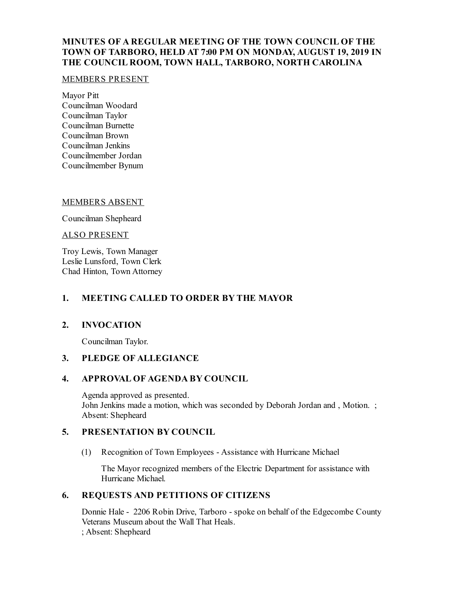# **MINUTES OF A REGULAR MEETING OF THE TOWN COUNCIL OF THE TOWN OF TARBORO, HELD AT 7:00 PM ON MONDAY, AUGUST 19, 2019 IN THE COUNCIL ROOM, TOWN HALL, TARBORO, NORTH CAROLINA**

### MEMBERS PRESENT

Mayor Pitt Councilman Woodard Councilman Taylor Councilman Burnette Councilman Brown Councilman Jenkins Councilmember Jordan Councilmember Bynum

### MEMBERS ABSENT

Councilman Shepheard

ALSO PRESENT

Troy Lewis, Town Manager Leslie Lunsford, Town Clerk Chad Hinton, Town Attorney

## **1. MEETING CALLED TO ORDER BY THE MAYOR**

### **2. INVOCATION**

Councilman Taylor.

## **3. PLEDGE OF ALLEGIANCE**

### **4. APPROVAL OF AGENDA BY COUNCIL**

Agenda approved as presented. John Jenkins made a motion, which was seconded by Deborah Jordan and , Motion. ; Absent: Shepheard

## **5. PRESENTATION BY COUNCIL**

(1) Recognition of Town Employees - Assistance with Hurricane Michael

The Mayor recognized members of the Electric Department for assistance with Hurricane Michael.

## **6. REQUESTS AND PETITIONS OF CITIZENS**

Donnie Hale - 2206 Robin Drive, Tarboro - spoke on behalf of the Edgecombe County Veterans Museum about the Wall That Heals. ; Absent: Shepheard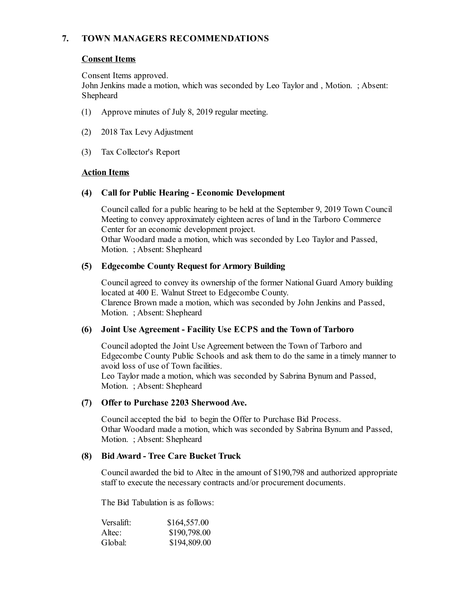# **7. TOWN MANAGERS RECOMMENDATIONS**

## **Consent Items**

Consent Items approved.

John Jenkins made a motion, which was seconded by Leo Taylor and , Motion. ; Absent: Shepheard

- (1) Approve minutes of July 8, 2019 regular meeting.
- (2) 2018 Tax Levy Adjustment
- (3) Tax Collector's Report

### **Action Items**

### **(4) Call for Public Hearing - Economic Development**

Council called for a public hearing to be held at the September 9, 2019 Town Council Meeting to convey approximately eighteen acres of land in the Tarboro Commerce Center for an economic development project.

Othar Woodard made a motion, which was seconded by Leo Taylor and Passed, Motion. ; Absent: Shepheard

### **(5) Edgecombe County Request for Armory Building**

Councilagreed to convey its ownership of the former National Guard Amory building located at 400 E. Walnut Street to Edgecombe County. Clarence Brown made a motion, which was seconded by John Jenkins and Passed, Motion. ; Absent: Shepheard

## **(6) Joint Use Agreement - Facility Use ECPS and the Town of Tarboro**

Counciladopted the Joint Use Agreement between the Town of Tarboro and Edgecombe County Public Schools and ask them to do the same in a timely manner to avoid loss of use of Town facilities.

Leo Taylor made a motion, which was seconded by Sabrina Bynum and Passed, Motion. ; Absent: Shepheard

## **(7) Offerto Purchase 2203 SherwoodAve.**

Councilaccepted the bid to begin the Offer to Purchase Bid Process. Othar Woodard made a motion, which was seconded by Sabrina Bynum and Passed, Motion. ; Absent: Shepheard

## **(8) BidAward - Tree Care Bucket Truck**

Councilawarded the bid to Altec in the amount of \$190,798 and authorized appropriate staff to execute the necessary contracts and/or procurement documents.

The Bid Tabulation is as follows:

| Versalift: | \$164,557.00 |
|------------|--------------|
| Altec:     | \$190,798.00 |
| Global:    | \$194,809.00 |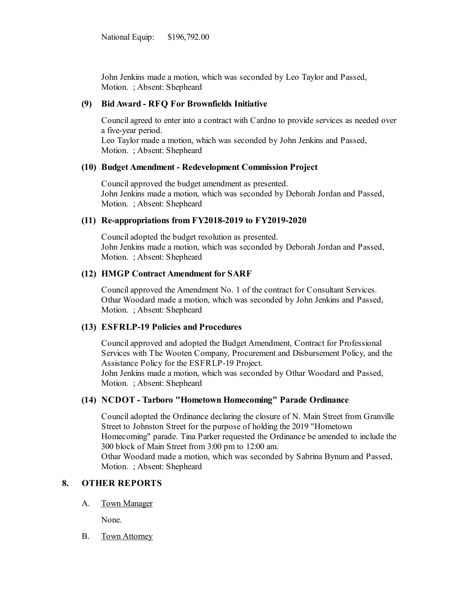John Jenkins made a motion, which was seconded by Leo Taylor and Passed, Motion. ; Absent: Shepheard

### **(9) BidAward - RFQ For Brownfields Initiative**

Councilagreed to enter into a contract with Cardno to provide services as needed over a five-year period.

Leo Taylor made a motion, which was seconded by John Jenkins and Passed, Motion. ; Absent: Shepheard

#### **(10) Budget Amendment - Redevelopment Commission Project**

Councilapproved the budget amendment as presented. John Jenkins made a motion, which was seconded by Deborah Jordan and Passed, Motion. ; Absent: Shepheard

#### **(11) Re-appropriations from FY2018-2019 to FY2019-2020**

Counciladopted the budget resolution as presented. John Jenkins made a motion, which was seconded by Deborah Jordan and Passed, Motion. ; Absent: Shepheard

#### **(12) HMGP Contract Amendment for SARF**

Councilapproved the Amendment No. 1 of the contract for Consultant Services. Othar Woodard made a motion, which was seconded by John Jenkins and Passed, Motion. ; Absent: Shepheard

#### **(13) ESFRLP-19 Policies and Procedures**

Councilapproved and adopted the Budget Amendment, Contract for Professional Services with The Wooten Company, Procurement and Disbursement Policy, and the Assistance Policy for the ESFRLP-19 Project. John Jenkins made a motion, which was seconded by Othar Woodard and Passed,

Motion. ; Absent: Shepheard

## **(14) NCDOT - Tarboro "Hometown Homecoming" Parade Ordinance**

Counciladopted the Ordinance declaring the closure of N. Main Street from Granville Street to Johnston Street for the purpose of holding the 2019 "Hometown Homecoming" parade. Tina Parker requested the Ordinance be amended to include the 300 block of Main Street from 3:00 pm to 12:00 am. Othar Woodard made a motion, which was seconded by Sabrina Bynum and Passed, Motion. ; Absent: Shepheard

## **8. OTHER REPORTS**

A. Town Manager

None.

B. Town Attorney